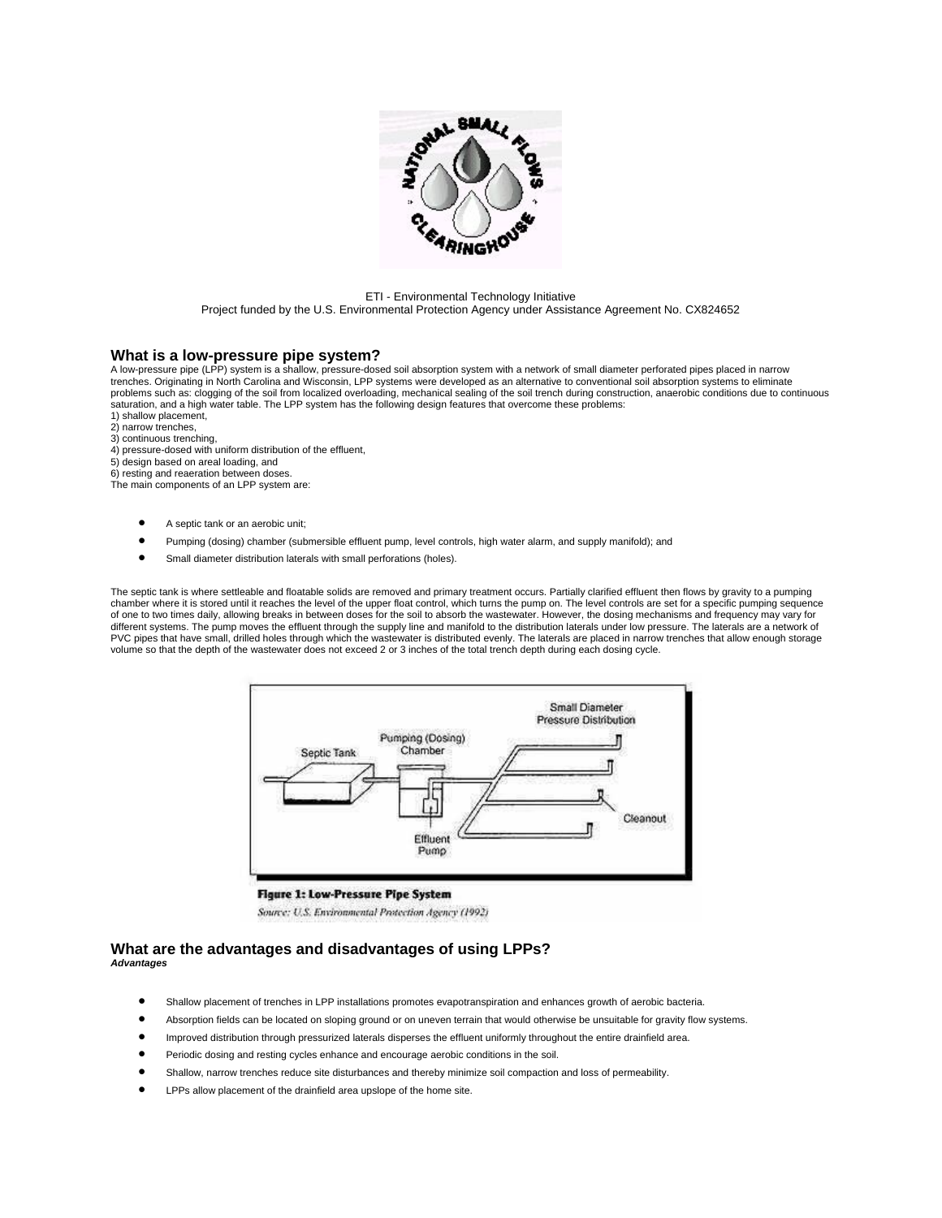

#### ETI - Environmental Technology Initiative Project funded by the U.S. Environmental Protection Agency under Assistance Agreement No. CX824652

### **What is a low-pressure pipe system?**

A low-pressure pipe (LPP) system is a shallow, pressure-dosed soil absorption system with a network of small diameter perforated pipes placed in narrow trenches. Originating in North Carolina and Wisconsin, LPP systems were developed as an alternative to conventional soil absorption systems to eliminate problems such as: clogging of the soil from localized overloading, mechanical sealing of the soil trench during construction, anaerobic conditions due to continuous saturation, and a high water table. The LPP system has the following design features that overcome these problems:

- 1) shallow placement, 2) narrow trenches,
- 3) continuous trenching,
- 4) pressure-dosed with uniform distribution of the effluent,
- 5) design based on areal loading, and
- 6) resting and reaeration between doses.

The main components of an LPP system are:

- A septic tank or an aerobic unit;
- Pumping (dosing) chamber (submersible effluent pump, level controls, high water alarm, and supply manifold); and
- Small diameter distribution laterals with small perforations (holes).

The septic tank is where settleable and floatable solids are removed and primary treatment occurs. Partially clarified effluent then flows by gravity to a pumping chamber where it is stored until it reaches the level of the upper float control, which turns the pump on. The level controls are set for a specific pumping sequence of one to two times daily, allowing breaks in between doses for the soil to absorb the wastewater. However, the dosing mechanisms and frequency may vary for different systems. The pump moves the effluent through the supply line and manifold to the distribution laterals under low pressure. The laterals are a network of PVC pipes that have small, drilled holes through which the wastewater is distributed evenly. The laterals are placed in narrow trenches that allow enough storage volume so that the depth of the wastewater does not exceed 2 or 3 inches of the total trench depth during each dosing cycle.



### **Figure 1: Low-Pressure Pipe System**

Source: U.S. Environmental Protection Agency (1992)

## **What are the advantages and disadvantages of using LPPs?**  *Advantages*

- Shallow placement of trenches in LPP installations promotes evapotranspiration and enhances growth of aerobic bacteria.
- Absorption fields can be located on sloping ground or on uneven terrain that would otherwise be unsuitable for gravity flow systems.
- Improved distribution through pressurized laterals disperses the effluent uniformly throughout the entire drainfield area.
- Periodic dosing and resting cycles enhance and encourage aerobic conditions in the soil.
- Shallow, narrow trenches reduce site disturbances and thereby minimize soil compaction and loss of permeability.
- LPPs allow placement of the drainfield area upslope of the home site.